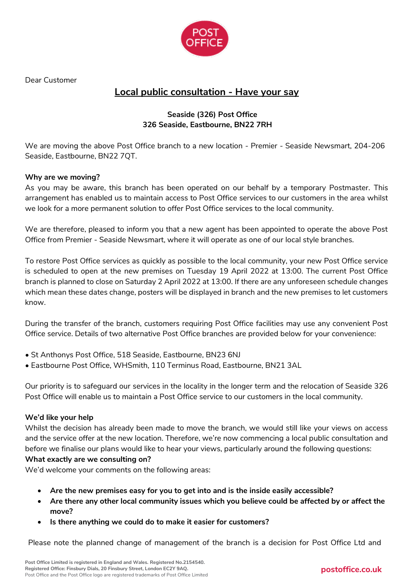

Dear Customer

# **Local public consultation - Have your say**

### **Seaside (326) Post Office 326 Seaside, Eastbourne, BN22 7RH**

We are moving the above Post Office branch to a new location - Premier - Seaside Newsmart, 204-206 Seaside, Eastbourne, BN22 7QT.

### **Why are we moving?**

As you may be aware, this branch has been operated on our behalf by a temporary Postmaster. This arrangement has enabled us to maintain access to Post Office services to our customers in the area whilst we look for a more permanent solution to offer Post Office services to the local community.

We are therefore, pleased to inform you that a new agent has been appointed to operate the above Post Office from Premier - Seaside Newsmart, where it will operate as one of our local style branches.

To restore Post Office services as quickly as possible to the local community, your new Post Office service is scheduled to open at the new premises on Tuesday 19 April 2022 at 13:00. The current Post Office branch is planned to close on Saturday 2 April 2022 at 13:00. If there are any unforeseen schedule changes which mean these dates change, posters will be displayed in branch and the new premises to let customers know.

During the transfer of the branch, customers requiring Post Office facilities may use any convenient Post Office service. Details of two alternative Post Office branches are provided below for your convenience:

- St Anthonys Post Office, 518 Seaside, Eastbourne, BN23 6NJ
- Eastbourne Post Office, WHSmith, 110 Terminus Road, Eastbourne, BN21 3AL

Our priority is to safeguard our services in the locality in the longer term and the relocation of Seaside 326 Post Office will enable us to maintain a Post Office service to our customers in the local community.

#### **We'd like your help**

Whilst the decision has already been made to move the branch, we would still like your views on access and the service offer at the new location. Therefore, we're now commencing a local public consultation and before we finalise our plans would like to hear your views, particularly around the following questions:

#### **What exactly are we consulting on?**

We'd welcome your comments on the following areas:

- **Are the new premises easy for you to get into and is the inside easily accessible?**
- **Are there any other local community issues which you believe could be affected by or affect the move?**
- **Is there anything we could do to make it easier for customers?**

Please note the planned change of management of the branch is a decision for Post Office Ltd and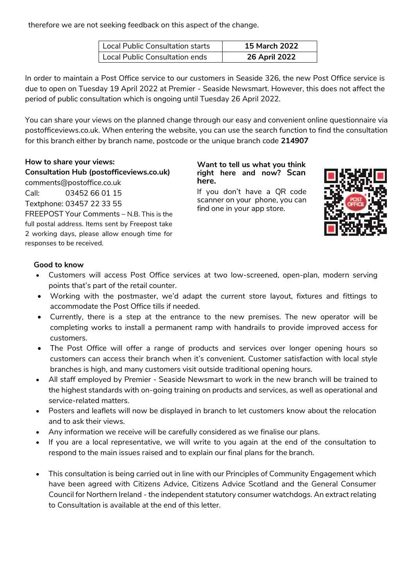therefore we are not seeking feedback on this aspect of the change.

| Local Public Consultation starts | <b>15 March 2022</b> |  |
|----------------------------------|----------------------|--|
| Local Public Consultation ends   | 26 April 2022        |  |

In order to maintain a Post Office service to our customers in Seaside 326, the new Post Office service is due to open on Tuesday 19 April 2022 at Premier - Seaside Newsmart. However, this does not affect the period of public consultation which is ongoing until Tuesday 26 April 2022.

You can share your views on the planned change through our easy and convenient online questionnaire via postofficeviews.co.uk. When entering the website, you can use the search function to find the consultation for this branch either by branch name, postcode or the unique branch code **214907**

**How to share your views: Consultation Hub (postofficeviews.co.uk)** comments@postoffice.co.uk Call: 03452 66 01 15 Textphone: 03457 22 33 55 FREEPOST Your Comments – N.B. This is the full postal address. Items sent by Freepost take 2 working days, please allow enough time for responses to be received.

**Want to tell us what you think right here and now? Scan here.**

If you don't have a QR code scanner on your phone, you can find one in your app store.



### **Good to know**

- Customers will access Post Office services at two low-screened, open-plan, modern serving points that's part of the retail counter.
- Working with the postmaster, we'd adapt the current store layout, fixtures and fittings to accommodate the Post Office tills if needed.
- Currently, there is a step at the entrance to the new premises. The new operator will be completing works to install a permanent ramp with handrails to provide improved access for customers.
- The Post Office will offer a range of products and services over longer opening hours so customers can access their branch when it's convenient. Customer satisfaction with local style branches is high, and many customers visit outside traditional opening hours.
- All staff employed by Premier Seaside Newsmart to work in the new branch will be trained to the highest standards with on-going training on products and services, as well as operational and service-related matters.
- Posters and leaflets will now be displayed in branch to let customers know about the relocation and to ask their views.
- Any information we receive will be carefully considered as we finalise our plans.
- If you are a local representative, we will write to you again at the end of the consultation to respond to the main issues raised and to explain our final plans for the branch.
- This consultation is being carried out in line with our Principles of Community Engagement which have been agreed with Citizens Advice, Citizens Advice Scotland and the General Consumer Council for Northern Ireland - the independent statutory consumer watchdogs. An extract relating to Consultation is available at the end of this letter.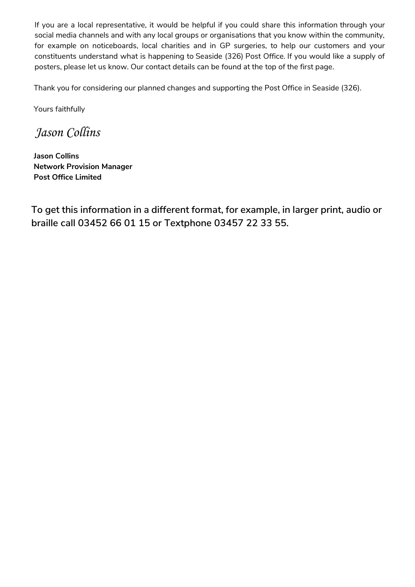If you are a local representative, it would be helpful if you could share this information through your social media channels and with any local groups or organisations that you know within the community, for example on noticeboards, local charities and in GP surgeries, to help our customers and your constituents understand what is happening to Seaside (326) Post Office. If you would like a supply of posters, please let us know. Our contact details can be found at the top of the first page.

Thank you for considering our planned changes and supporting the Post Office in Seaside (326).

Yours faithfully

*Jason Collins*

**Jason Collins Network Provision Manager Post Office Limited**

**To get this information in a different format, for example, in larger print, audio or braille call 03452 66 01 15 or Textphone 03457 22 33 55.**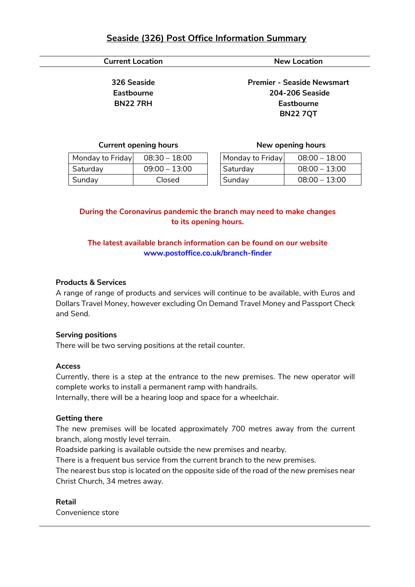## **Seaside (326) Post Office Information Summary**

### **Current Location New Location**

**326 Seaside Eastbourne BN22 7RH**

**Premier - Seaside Newsmart 204-206 Seaside Eastbourne BN22 7QT**

#### **Current opening hours**

| Monday to Friday | $08:30 - 18:00$ |
|------------------|-----------------|
| Saturday         | $09:00 - 13:00$ |
| Sunday           | Closed          |

|  |  |  |  | New opening hours |  |
|--|--|--|--|-------------------|--|
|--|--|--|--|-------------------|--|

| Monday to Friday | $08:00 - 18:00$ |
|------------------|-----------------|
| Saturday         | $08:00 - 13:00$ |
| Sunday           | $08:00 - 13:00$ |

### **During the Coronavirus pandemic the branch may need to make changes to its opening hours.**

### **The latest available branch information can be found on our website www.postoffice.co.uk/branch-finder**

#### **Products & Services**

A range of range of products and services will continue to be available, with Euros and Dollars Travel Money, however excluding On Demand Travel Money and Passport Check and Send.

#### **Serving positions**

There will be two serving positions at the retail counter.

#### **Access**

Currently, there is a step at the entrance to the new premises. The new operator will complete works to install a permanent ramp with handrails.

Internally, there will be a hearing loop and space for a wheelchair.

#### **Getting there**

The new premises will be located approximately 700 metres away from the current branch, along mostly level terrain.

Roadside parking is available outside the new premises and nearby.

There is a frequent bus service from the current branch to the new premises.

The nearest bus stop is located on the opposite side of the road of the new premises near Christ Church, 34 metres away.

#### **Retail**

Convenience store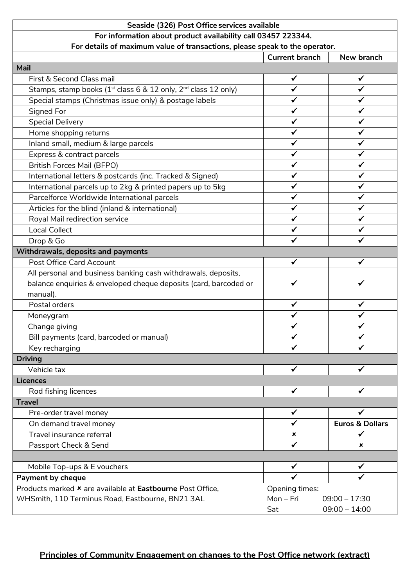### **Seaside (326) Post Office services available For information about product availability call 03457 223344. For details of maximum value of transactions, please speak to the operator. Current branch New branch Mail** First & Second Class mail  $\checkmark$  √  $\checkmark$ Stamps, stamp books (1st class 6 & 12 only, 2<sup>nd</sup> class 12 only)  $\checkmark$   $\checkmark$ Special stamps (Christmas issue only) & postage labels  $\checkmark$ Signed For  $\checkmark$ Special Delivery ✓ ✓ Home shopping returns  $\begin{array}{ccc} \bullet & \bullet & \bullet \end{array}$ Inland small, medium & large parcels ✓ ✓ Express & contract parcels  $\checkmark$  √  $\checkmark$  √ British Forces Mail (BFPO) ✓ ✓ International letters & postcards (inc. Tracked & Signed)  $\checkmark$  √ | √ International parcels up to 2kg & printed papers up to 5kg  $\checkmark$ Parcelforce Worldwide International parcels  $\checkmark$  √  $\checkmark$ Articles for the blind (inland & international)  $\checkmark$   $\checkmark$ Royal Mail redirection service ✓ ✓ Local Collect  $\checkmark$ Drop & Go ✓ ✓ **Withdrawals, deposits and payments** Post Office Card Account  $\checkmark$  √  $\checkmark$ All personal and business banking cash withdrawals, deposits, balance enquiries & enveloped cheque deposits (card, barcoded or manual). ✓ ✓ Postal orders  $\checkmark$ Moneygram  $\checkmark$   $\checkmark$ Change giving  $\begin{array}{ccc} \sim & \end{array}$ Bill payments (card, barcoded or manual) Key recharging  $\checkmark$ **Driving** Vehicle tax  $\checkmark$ **Licences** Rod fishing licences  $\sqrt{2}$ **Travel** Pre-order travel money  $\checkmark$   $\checkmark$ On demand travel money ✓ **Euros & Dollars** Travel insurance referral  $\checkmark$ Passport Check & Send **∠** ∴ Next Send **∠** ∴ Next Send **∠**  $\mathbf{x}$ Mobile Top-ups & E vouchers  $\begin{array}{ccc} \uparrow & \downarrow & \downarrow & \downarrow \end{array}$   $\begin{array}{ccc} \downarrow & \downarrow & \downarrow & \downarrow \end{array}$ **Payment by cheque** Products marked **x** are available at **Eastbourne** Post Office, WHSmith, 110 Terminus Road, Eastbourne, BN21 3AL Opening times: Mon – Fri 09:00 – 17:30 Sat 09:00 – 14:00